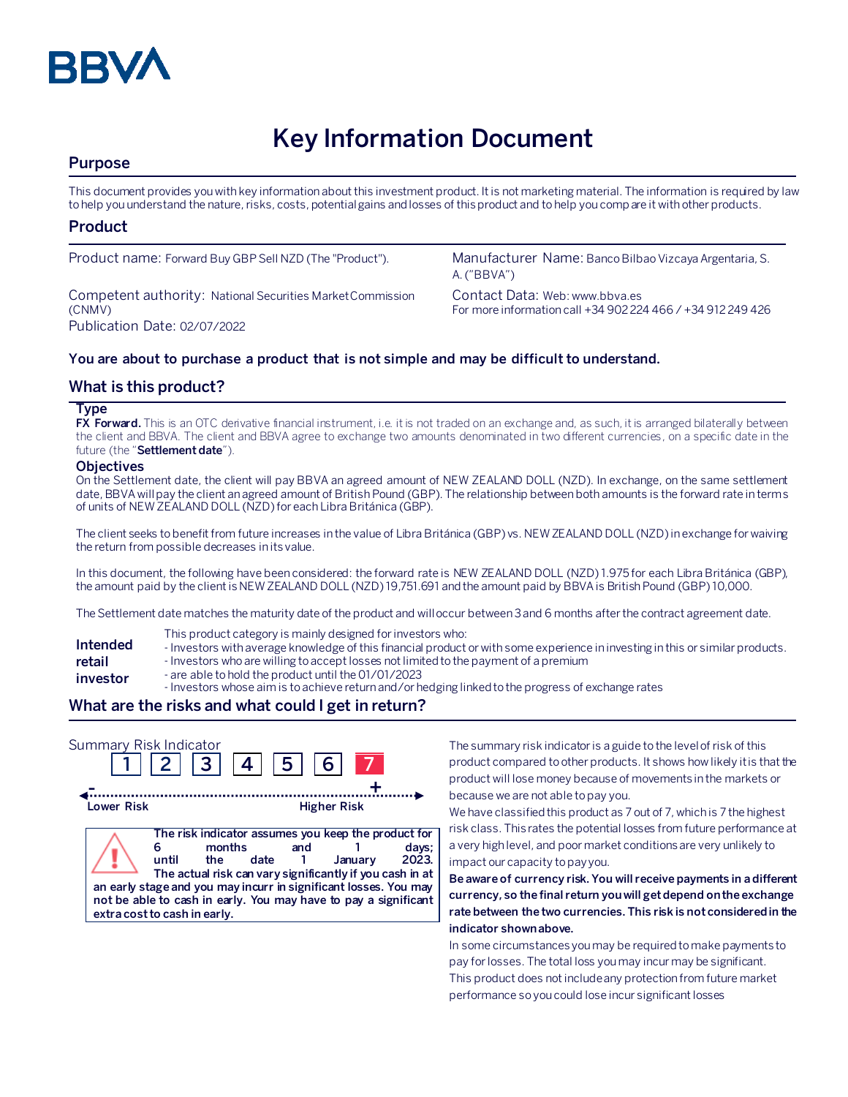

# **Key Information Document**

# **Purpose**

This document provides you with key information about this investment product. It is not marketing material. The information is required by law to help you understand the nature, risks, costs, potential gains and losses of this product and to help you compare it with other products.

## **Product**

Competent authority: National Securities Market Commission (CNMV) Publication Date: 02/07/2022

Product name: Forward Buy GBP Sell NZD (The "Product"). Manufacturer Name: Banco Bilbao Vizcaya Argentaria, S. A. ("BBVA")

> Contact Data: Web: www.bbva.es For more information call +34 902 224 466 / +34 912 249 426

## **You are about to purchase a product that is not simple and may be difficult to understand.**

## **What is this product?**

#### **Type**

**FX Forward.** This is an OTC derivative financial instrument, i.e. it is not traded on an exchange and, as such, it is arranged bilaterally between the client and BBVA. The client and BBVA agree to exchange two amounts denominated in two different currencies, on a specific date in the future (the "**Settlement date**").

#### **Objectives**

On the Settlement date, the client will pay BBVA an agreed amount of NEW ZEALAND DOLL (NZD). In exchange, on the same settlement date, BBVA will pay the client an agreed amount of British Pound (GBP). The relationship between both amounts is the forward rate in terms of units of NEW ZEALAND DOLL (NZD) for each Libra Británica (GBP).

The client seeks to benefit from future increases in the value of Libra Británica (GBP) vs. NEW ZEALAND DOLL (NZD) in exchange for waiving the return from possible decreases in its value.

In this document, the following have been considered: the forward rate is NEW ZEALAND DOLL (NZD) 1.975 for each Libra Británica (GBP), the amount paid by the client is NEW ZEALAND DOLL (NZD) 19,751.691 and the amount paid by BBVA is British Pound (GBP) 10,000.

The Settlement date matches the maturity date of the product and will occur between 3 and 6 months after the contract agreement date.

- This product category is mainly designed for investors who:
- **Intended**  - Investors with average knowledge of this financial product or with some experience in investing in this or similar products.
- **retail**  - Investors who are willing to accept losses not limited to the payment of a premium
- **investor** - are able to hold the product until the 01/01/2023
	- Investors whose aim is to achieve return and/or hedging linked to the progress of exchange rates

# **What are the risks and what could I get in return?**

| Summary Risk Indicator | 2  3  4                                                                                                                                                                                                                                                                                                          | 5           | 6 <sup>1</sup>     |                           |
|------------------------|------------------------------------------------------------------------------------------------------------------------------------------------------------------------------------------------------------------------------------------------------------------------------------------------------------------|-------------|--------------------|---------------------------|
| Lower Risk             |                                                                                                                                                                                                                                                                                                                  |             | <b>Higher Risk</b> |                           |
|                        | The risk indicator assumes you keep the product for<br>months<br>until<br>the<br>The actual risk can vary significantly if you cash in at<br>an early stage and you may incurr in significant losses. You may<br>not be able to cash in early. You may have to pay a significant<br>extra cost to cash in early. | and<br>date |                    | days;<br>2023.<br>Januarv |

The summary risk indicator is a guide to the level of risk of this product compared to other products. It shows how likely it is that the product will lose money because of movements in the markets or because we are not able to pay you.

We have classified this product as 7 out of 7, which is 7 the highest risk class. This rates the potential losses from future performance at a very high level, and poor market conditions are very unlikely to impact our capacity to pay you.

**Be aware of currency risk. You will receive payments in a different currency, so the final return you will get depend on the exchange rate between the two currencies. This risk is not considered in the indicator shown above.**

In some circumstances you may be required to make payments to pay for losses. The total loss you may incur may be significant. This product does not include any protection from future market performance so you could lose incur significant losses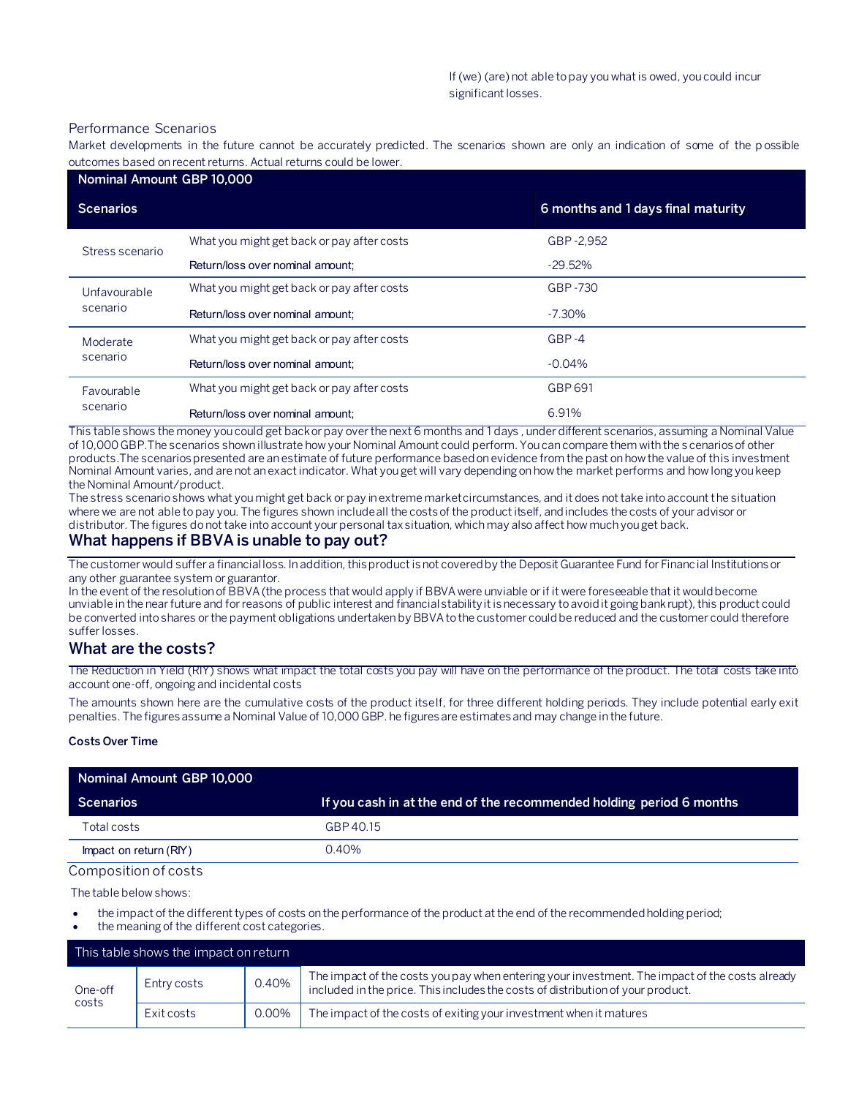#### Performance Scenarios

Market developments in the future cannot be accurately predicted. The scenarios shown are only an indication of some of the p ossible outcomes based on recent returns. Actual returns could be lower.

| Nominal Amount GBP 10,000 |                                            |                                    |  |  |
|---------------------------|--------------------------------------------|------------------------------------|--|--|
| <b>Scenarios</b>          |                                            | 6 months and 1 days final maturity |  |  |
| Stress scenario           | What you might get back or pay after costs | GBP-2,952                          |  |  |
|                           | Return/loss over nominal amount:           | $-29.52\%$                         |  |  |
| Unfavourable<br>scenario  | What you might get back or pay after costs | GBP-730                            |  |  |
|                           | Return/loss over nominal amount:           | $-7.30\%$                          |  |  |
| Moderate<br>scenario      | What you might get back or pay after costs | $GBP -4$                           |  |  |
|                           | Return/loss over nominal amount:           | $-0.04\%$                          |  |  |
| Favourable<br>scenario    | What you might get back or pay after costs | GBP 691                            |  |  |
|                           | Return/loss over nominal amount:           | 6.91%                              |  |  |

This table shows the money you could get back or pay over the next 6 months and 1 days , under different scenarios, assuming a Nominal Value of 10,000 GBP.The scenarios shown illustrate how your Nominal Amount could perform. You can compare them with the s cenarios of other products.The scenarios presented are an estimate of future performance based on evidence from the past on how the value of this investment Nominal Amount varies, and are not an exact indicator. What you get will vary depending on how the market performs and how long you keep the Nominal Amount/product.

The stress scenario shows what you might get back or pay in extreme market circumstances, and it does not take into account the situation where we are not able to pay you. The figures shown include all the costs of the product itself, and includes the costs of your advisor or distributor. The figures do not take into account your personal tax situation, which may also affect how much you get back.

## **What happens if BBVA is unable to pay out?**

The customer would suffer a financial loss. In addition, this product is not covered by the Deposit Guarantee Fund for Financial Institutions or any other guarantee system or guarantor.

In the event of the resolution of BBVA (the process that would apply if BBVA were unviable or if it were foreseeable that it would become unviable in the near future and for reasons of public interest and financial stability it is necessary to avoid it going bankrupt), this product could be converted into shares or the payment obligations undertaken by BBVA to the customer could be reduced and the customer could therefore suffer losses.

## **What are the costs?**

The Reduction in Yield (RIY) shows what impact the total costs you pay will have on the performance of the product. The total costs take into account one-off, ongoing and incidental costs

The amounts shown here are the cumulative costs of the product itself, for three different holding periods. They include potential early exit penalties. The figures assume a Nominal Value of 10,000 GBP. he figures are estimates and may change in the future.

#### **Costs Over Time**

| Nominal Amount GBP 10,000 |                                                                      |
|---------------------------|----------------------------------------------------------------------|
| Scenarios                 | If you cash in at the end of the recommended holding period 6 months |
| Total costs               | GBP 40.15                                                            |
| Impact on return (RIY)    | 0.40%                                                                |

#### Composition of costs

The table below shows:

- the impact of the different types of costs on the performance of the product at the end of the recommended holding period;
- the meaning of the different cost categories.

| This table shows the impact on return |             |       |                                                                                                                                                                                   |  |
|---------------------------------------|-------------|-------|-----------------------------------------------------------------------------------------------------------------------------------------------------------------------------------|--|
| One-off<br>costs                      | Entry costs | 0.40% | The impact of the costs you pay when entering your investment. The impact of the costs already<br>included in the price. This includes the costs of distribution of your product. |  |
|                                       | Exit costs  | 0.00% | The impact of the costs of exiting your investment when it matures                                                                                                                |  |